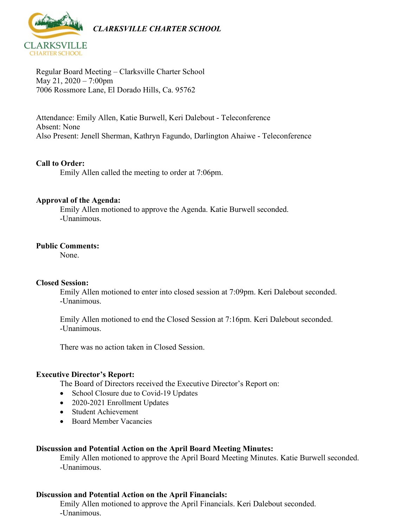

Regular Board Meeting – Clarksville Charter School May 21, 2020 – 7:00pm 7006 Rossmore Lane, El Dorado Hills, Ca. 95762

Attendance: Emily Allen, Katie Burwell, Keri Dalebout - Teleconference Absent: None Also Present: Jenell Sherman, Kathryn Fagundo, Darlington Ahaiwe - Teleconference

## **Call to Order:**

Emily Allen called the meeting to order at 7:06pm.

## **Approval of the Agenda:**

Emily Allen motioned to approve the Agenda. Katie Burwell seconded. -Unanimous.

#### **Public Comments:**

None.

## **Closed Session:**

Emily Allen motioned to enter into closed session at 7:09pm. Keri Dalebout seconded. -Unanimous.

Emily Allen motioned to end the Closed Session at 7:16pm. Keri Dalebout seconded. -Unanimous.

There was no action taken in Closed Session.

## **Executive Director's Report:**

The Board of Directors received the Executive Director's Report on:

- School Closure due to Covid-19 Updates
- 2020-2021 Enrollment Updates
- Student Achievement
- Board Member Vacancies

## **Discussion and Potential Action on the April Board Meeting Minutes:**

Emily Allen motioned to approve the April Board Meeting Minutes. Katie Burwell seconded. -Unanimous.

## **Discussion and Potential Action on the April Financials:**

Emily Allen motioned to approve the April Financials. Keri Dalebout seconded. -Unanimous.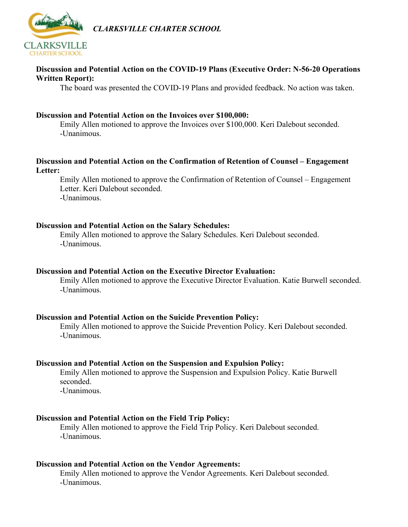



## **Discussion and Potential Action on the COVID-19 Plans (Executive Order: N-56-20 Operations Written Report):**

The board was presented the COVID-19 Plans and provided feedback. No action was taken.

#### **Discussion and Potential Action on the Invoices over \$100,000:**

Emily Allen motioned to approve the Invoices over \$100,000. Keri Dalebout seconded. -Unanimous.

## **Discussion and Potential Action on the Confirmation of Retention of Counsel – Engagement Letter:**

Emily Allen motioned to approve the Confirmation of Retention of Counsel – Engagement Letter. Keri Dalebout seconded. -Unanimous.

#### **Discussion and Potential Action on the Salary Schedules:**

Emily Allen motioned to approve the Salary Schedules. Keri Dalebout seconded. -Unanimous.

#### **Discussion and Potential Action on the Executive Director Evaluation:**

Emily Allen motioned to approve the Executive Director Evaluation. Katie Burwell seconded. -Unanimous.

#### **Discussion and Potential Action on the Suicide Prevention Policy:**

Emily Allen motioned to approve the Suicide Prevention Policy. Keri Dalebout seconded. -Unanimous.

#### **Discussion and Potential Action on the Suspension and Expulsion Policy:**

Emily Allen motioned to approve the Suspension and Expulsion Policy. Katie Burwell seconded.

-Unanimous.

#### **Discussion and Potential Action on the Field Trip Policy:**

Emily Allen motioned to approve the Field Trip Policy. Keri Dalebout seconded. -Unanimous.

#### **Discussion and Potential Action on the Vendor Agreements:**

Emily Allen motioned to approve the Vendor Agreements. Keri Dalebout seconded. -Unanimous.